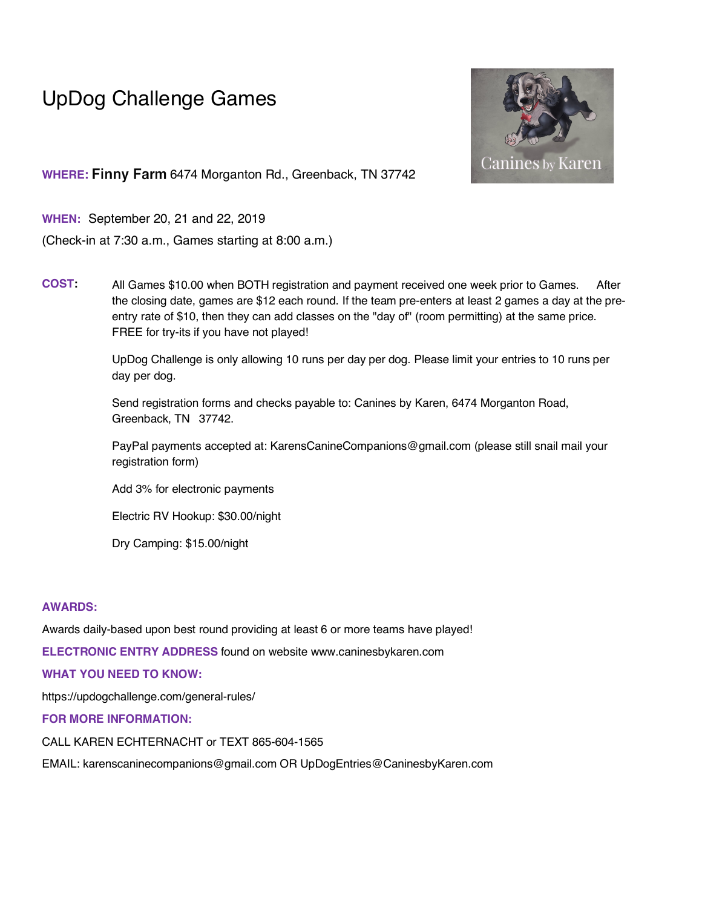# UpDog Challenge Games



WHERE: Finny Farm 6474 Morganton Rd., Greenback, TN 37742

**WHEN:** September 20, 21 and 22, 2019

(Check-in at 7:30 a.m., Games starting at 8:00 a.m.)

**COST:** All Games \$10.00 when BOTH registration and payment received one week prior to Games. After the closing date, games are \$12 each round. If the team pre-enters at least 2 games a day at the preentry rate of \$10, then they can add classes on the "day of" (room permitting) at the same price. FREE for try-its if you have not played!

> UpDog Challenge is only allowing 10 runs per day per dog. Please limit your entries to 10 runs per day per dog.

Send registration forms and checks payable to: Canines by Karen, 6474 Morganton Road, Greenback, TN 37742.

PayPal payments accepted at: KarensCanineCompanions@gmail.com (please still snail mail your registration form)

Add 3% for electronic payments

Electric RV Hookup: \$30.00/night

Dry Camping: \$15.00/night

### **AWARDS:**

Awards daily-based upon best round providing at least 6 or more teams have played!

**ELECTRONIC ENTRY ADDRESS** found on website www.caninesbykaren.com

## **WHAT YOU NEED TO KNOW:**

https://updogchallenge.com/general-rules/

**FOR MORE INFORMATION:**

CALL KAREN ECHTERNACHT or TEXT 865-604-1565

EMAIL: karenscaninecompanions@gmail.com OR UpDogEntries@CaninesbyKaren.com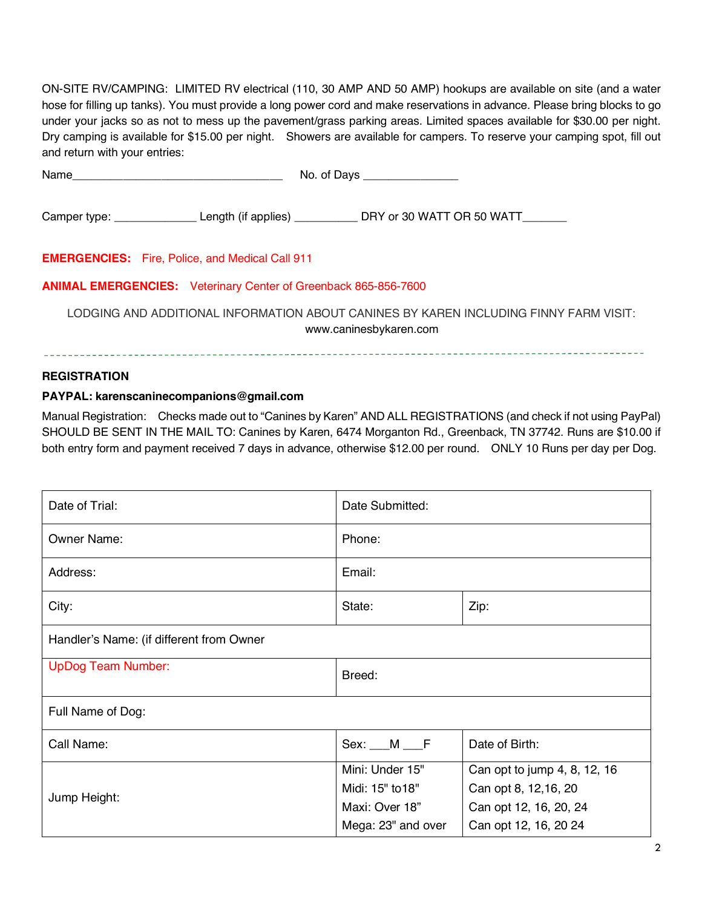ON-SITE RV/CAMPING: LIMITED RV electrical (110, 30 AMP AND 50 AMP) hookups are available on site (and a water hose for filling up tanks). You must provide a long power cord and make reservations in advance. Please bring blocks to go under your jacks so as not to mess up the pavement/grass parking areas. Limited spaces available for \$30.00 per night. Dry camping is available for \$15.00 per night. Showers are available for campers. To reserve your camping spot, fill out and return with your entries:

| Name and the contract of the contract of the contract of the contract of the contract of the contract of the contract of the contract of the contract of the contract of the contract of the contract of the contract of the c |  | No. of Days _________________                                                                                   |  |  |  |  |  |  |  |  |
|--------------------------------------------------------------------------------------------------------------------------------------------------------------------------------------------------------------------------------|--|-----------------------------------------------------------------------------------------------------------------|--|--|--|--|--|--|--|--|
|                                                                                                                                                                                                                                |  | Camper type: Length (if applies) _________________ DRY or 30 WATT OR 50 WATT                                    |  |  |  |  |  |  |  |  |
| <b>EMERGENCIES:</b> Fire, Police, and Medical Call 911                                                                                                                                                                         |  |                                                                                                                 |  |  |  |  |  |  |  |  |
| <b>ANIMAL EMERGENCIES:</b> Veterinary Center of Greenback 865-856-7600                                                                                                                                                         |  |                                                                                                                 |  |  |  |  |  |  |  |  |
|                                                                                                                                                                                                                                |  | LODGING AND ADDITIONAL INFORMATION ABOUT CANINES BY KAREN INCLUDING FINNY FARM VISIT:<br>www.caninesbykaren.com |  |  |  |  |  |  |  |  |
|                                                                                                                                                                                                                                |  |                                                                                                                 |  |  |  |  |  |  |  |  |

## **REGISTRATION**

## **PAYPAL: karenscaninecompanions@gmail.com**

Manual Registration: Checks made out to "Canines by Karen" AND ALL REGISTRATIONS (and check if not using PayPal) SHOULD BE SENT IN THE MAIL TO: Canines by Karen, 6474 Morganton Rd., Greenback, TN 37742. Runs are \$10.00 if both entry form and payment received 7 days in advance, otherwise \$12.00 per round. ONLY 10 Runs per day per Dog.

| Date of Trial:                           | Date Submitted:        |                              |  |  |  |  |  |  |  |
|------------------------------------------|------------------------|------------------------------|--|--|--|--|--|--|--|
| <b>Owner Name:</b>                       | Phone:                 |                              |  |  |  |  |  |  |  |
| Address:                                 | Email:                 |                              |  |  |  |  |  |  |  |
| City:                                    | State:                 | Zip:                         |  |  |  |  |  |  |  |
| Handler's Name: (if different from Owner |                        |                              |  |  |  |  |  |  |  |
| <b>UpDog Team Number:</b>                | Breed:                 |                              |  |  |  |  |  |  |  |
| Full Name of Dog:                        |                        |                              |  |  |  |  |  |  |  |
| Call Name:                               | Sex: <u>M</u> <u>F</u> | Date of Birth:               |  |  |  |  |  |  |  |
|                                          | Mini: Under 15"        | Can opt to jump 4, 8, 12, 16 |  |  |  |  |  |  |  |
| Jump Height:                             | Midi: 15" to 18"       | Can opt 8, 12,16, 20         |  |  |  |  |  |  |  |
|                                          | Maxi: Over 18"         | Can opt 12, 16, 20, 24       |  |  |  |  |  |  |  |
|                                          | Mega: 23" and over     | Can opt 12, 16, 20 24        |  |  |  |  |  |  |  |

-----